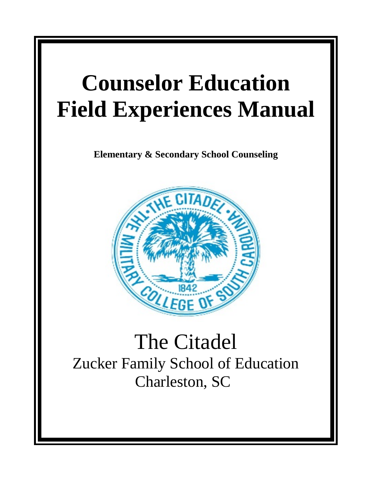# **Counselor Education Field Experiences Manual**

**Elementary & Secondary School Counseling**



# The Citadel Zucker Family School of Education Charleston, SC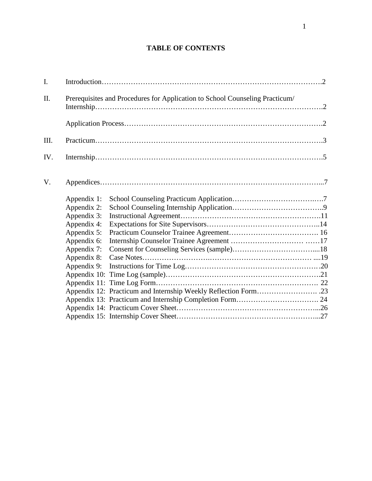# **TABLE OF CONTENTS**

| I.   |             |                                                                              |  |
|------|-------------|------------------------------------------------------------------------------|--|
| Π.   |             | Prerequisites and Procedures for Application to School Counseling Practicum/ |  |
|      |             |                                                                              |  |
| III. |             |                                                                              |  |
| IV.  |             |                                                                              |  |
| V.   |             |                                                                              |  |
|      | Appendix 1: |                                                                              |  |
|      | Appendix 2: |                                                                              |  |
|      | Appendix 3: |                                                                              |  |
|      | Appendix 4: |                                                                              |  |
|      | Appendix 5: |                                                                              |  |
|      | Appendix 6: |                                                                              |  |
|      | Appendix 7: |                                                                              |  |
|      | Appendix 8: |                                                                              |  |
|      | Appendix 9: |                                                                              |  |
|      |             |                                                                              |  |
|      |             |                                                                              |  |
|      |             |                                                                              |  |
|      |             |                                                                              |  |
|      |             |                                                                              |  |
|      |             |                                                                              |  |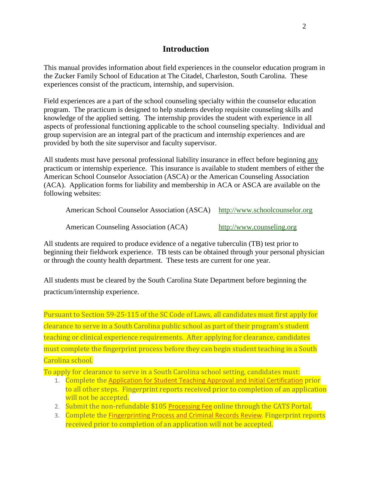# **Introduction**

This manual provides information about field experiences in the counselor education program in the Zucker Family School of Education at The Citadel, Charleston, South Carolina. These experiences consist of the practicum, internship, and supervision.

Field experiences are a part of the school counseling specialty within the counselor education program. The practicum is designed to help students develop requisite counseling skills and knowledge of the applied setting. The internship provides the student with experience in all aspects of professional functioning applicable to the school counseling specialty. Individual and group supervision are an integral part of the practicum and internship experiences and are provided by both the site supervisor and faculty supervisor.

All students must have personal professional liability insurance in effect before beginning any practicum or internship experience. This insurance is available to student members of either the American School Counselor Association (ASCA) or the American Counseling Association (ACA). Application forms for liability and membership in ACA or ASCA are available on the following websites:

| American School Counselor Association (ASCA) http://www.schoolcounselor.org |                           |
|-----------------------------------------------------------------------------|---------------------------|
| American Counseling Association (ACA)                                       | http://www.counseling.org |

All students are required to produce evidence of a negative tuberculin (TB) test prior to beginning their fieldwork experience. TB tests can be obtained through your personal physician or through the county health department. These tests are current for one year.

All students must be cleared by the South Carolina State Department before beginning the practicum/internship experience.

Pursuant to Section 59-25-115 of the SC Code of Laws, all candidates must first apply for clearance to serve in a South Carolina public school as part of their program's student teaching or clinical experience requirements. After applying for clearance, candidates must complete the fingerprint process before they can begin student teaching in a South Carolina school.

To apply for clearance to serve in a South Carolina school setting, candidates must:

- 1. Complete the Application for Student Teaching Approval and Initial [Certification](https://nam01.safelinks.protection.outlook.com/?url=https%3A%2F%2Fed.sc.gov%2Feducators%2Fcertification%2Fcats%2F&data=02%7C01%7Cobermana1%40citadel.edu%7Cb7e48d90d6254a440bdb08d8615ba1bb%7C960c1081d06341f8844b41d738db04a3%7C0%7C0%7C637366393464844570&sdata=CxBpXzZ6SeodN1983iYcJdN8KBV6e12UL%2B6vmWFhXSQ%3D&reserved=0) prior to all other steps. Fingerprint reports received prior to completion of an application will not be accepted.
- 2. Submit the non-refundable \$105 [Processing](https://nam01.safelinks.protection.outlook.com/?url=http%3A%2F%2Fed.sc.gov%2Feducators%2Fcertification%2Fcats%2F&data=02%7C01%7Cobermana1%40citadel.edu%7Cb7e48d90d6254a440bdb08d8615ba1bb%7C960c1081d06341f8844b41d738db04a3%7C0%7C0%7C637366393464854564&sdata=QEfaIjyie2jIbQun%2Bcj907DuCNIx2rZkGfoRfj86BSQ%3D&reserved=0) Fee online through the CATS Portal.
- 3. Complete the [Fingerprinting](https://nam01.safelinks.protection.outlook.com/?url=https%3A%2F%2Fed.sc.gov%2Feducators%2Fteaching-in-south-carolina%2Fmaterials%2Ffingerprinting-process-and-criminal-records-review%2F&data=02%7C01%7Cobermana1%40citadel.edu%7Cb7e48d90d6254a440bdb08d8615ba1bb%7C960c1081d06341f8844b41d738db04a3%7C0%7C0%7C637366393464854564&sdata=iJ8A%2B6KfP%2FaaiNcwBHOMeozY1xe9wTHsnsuIPrHmg9E%3D&reserved=0) Process and Criminal Records Review. Fingerprint reports received prior to completion of an application will not be accepted.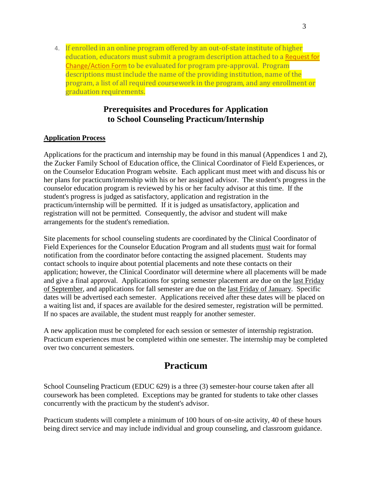4. If enrolled in an online program offered by an out-of-state institute of higher education, educators must submit a program description attached to a [Request](https://nam01.safelinks.protection.outlook.com/?url=http%3A%2F%2Fed.sc.gov%2Feducators%2Fcertification%2Fcertification-forms%2Frequest-for-change-action-form%2F&data=02%7C01%7Cobermana1%40citadel.edu%7Cb7e48d90d6254a440bdb08d8615ba1bb%7C960c1081d06341f8844b41d738db04a3%7C0%7C0%7C637366393464854564&sdata=L9qdBwCxO%2BUIFY6nt87iKt7nWsjAq4SfKpNVjTfFOfc%3D&reserved=0) for [Change/Action](https://nam01.safelinks.protection.outlook.com/?url=http%3A%2F%2Fed.sc.gov%2Feducators%2Fcertification%2Fcertification-forms%2Frequest-for-change-action-form%2F&data=02%7C01%7Cobermana1%40citadel.edu%7Cb7e48d90d6254a440bdb08d8615ba1bb%7C960c1081d06341f8844b41d738db04a3%7C0%7C0%7C637366393464854564&sdata=L9qdBwCxO%2BUIFY6nt87iKt7nWsjAq4SfKpNVjTfFOfc%3D&reserved=0) Form to be evaluated for program pre-approval. Program descriptions must include the name of the providing institution, name of the program, a list of all required coursework in the program, and any enrollment or graduation requirements.

# **Prerequisites and Procedures for Application to School Counseling Practicum/Internship**

# **Application Process**

Applications for the practicum and internship may be found in this manual (Appendices 1 and 2), the Zucker Family School of Education office, the Clinical Coordinator of Field Experiences, or on the Counselor Education Program website. Each applicant must meet with and discuss his or her plans for practicum/internship with his or her assigned advisor. The student's progress in the counselor education program is reviewed by his or her faculty advisor at this time. If the student's progress is judged as satisfactory, application and registration in the practicum/internship will be permitted. If it is judged as unsatisfactory, application and registration will not be permitted. Consequently, the advisor and student will make arrangements for the student's remediation.

Site placements for school counseling students are coordinated by the Clinical Coordinator of Field Experiences for the Counselor Education Program and all students must wait for formal notification from the coordinator before contacting the assigned placement. Students may contact schools to inquire about potential placements and note these contacts on their application; however, the Clinical Coordinator will determine where all placements will be made and give a final approval. Applications for spring semester placement are due on the last Friday of September, and applications for fall semester are due on the last Friday of January. Specific dates will be advertised each semester. Applications received after these dates will be placed on a waiting list and, if spaces are available for the desired semester, registration will be permitted. If no spaces are available, the student must reapply for another semester.

A new application must be completed for each session or semester of internship registration. Practicum experiences must be completed within one semester. The internship may be completed over two concurrent semesters.

# **Practicum**

School Counseling Practicum (EDUC 629) is a three (3) semester-hour course taken after all coursework has been completed. Exceptions may be granted for students to take other classes concurrently with the practicum by the student's advisor.

Practicum students will complete a minimum of 100 hours of on-site activity, 40 of these hours being direct service and may include individual and group counseling, and classroom guidance.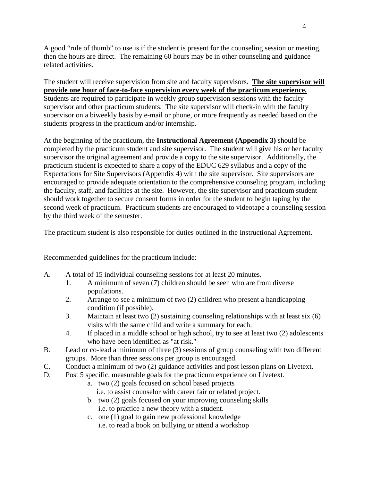A good "rule of thumb" to use is if the student is present for the counseling session or meeting, then the hours are direct. The remaining 60 hours may be in other counseling and guidance related activities.

The student will receive supervision from site and faculty supervisors. **The site supervisor will provide one hour of face-to-face supervision every week of the practicum experience.** Students are required to participate in weekly group supervision sessions with the faculty supervisor and other practicum students. The site supervisor will check-in with the faculty supervisor on a biweekly basis by e-mail or phone, or more frequently as needed based on the students progress in the practicum and/or internship.

At the beginning of the practicum, the **Instructional Agreement (Appendix 3)** should be completed by the practicum student and site supervisor. The student will give his or her faculty supervisor the original agreement and provide a copy to the site supervisor. Additionally, the practicum student is expected to share a copy of the EDUC 629 syllabus and a copy of the Expectations for Site Supervisors (Appendix 4) with the site supervisor. Site supervisors are encouraged to provide adequate orientation to the comprehensive counseling program, including the faculty, staff, and facilities at the site. However, the site supervisor and practicum student should work together to secure consent forms in order for the student to begin taping by the second week of practicum. Practicum students are encouraged to videotape a counseling session by the third week of the semester.

The practicum student is also responsible for duties outlined in the Instructional Agreement.

Recommended guidelines for the practicum include:

- A. A total of 15 individual counseling sessions for at least 20 minutes.
	- 1. A minimum of seven (7) children should be seen who are from diverse populations.
	- 2. Arrange to see a minimum of two (2) children who present a handicapping condition (if possible).
	- 3. Maintain at least two (2) sustaining counseling relationships with at least six (6) visits with the same child and write a summary for each.
	- 4. If placed in a middle school or high school, try to see at least two (2) adolescents who have been identified as "at risk."
- B. Lead or co-lead a minimum of three (3) sessions of group counseling with two different groups. More than three sessions per group is encouraged.
- C. Conduct a minimum of two (2) guidance activities and post lesson plans on Livetext.
- D. Post 5 specific, measurable goals for the practicum experience on Livetext.
	- a. two (2) goals focused on school based projects i.e. to assist counselor with career fair or related project.
	- b. two (2) goals focused on your improving counseling skills i.e. to practice a new theory with a student.
	- c. one (1) goal to gain new professional knowledge i.e. to read a book on bullying or attend a workshop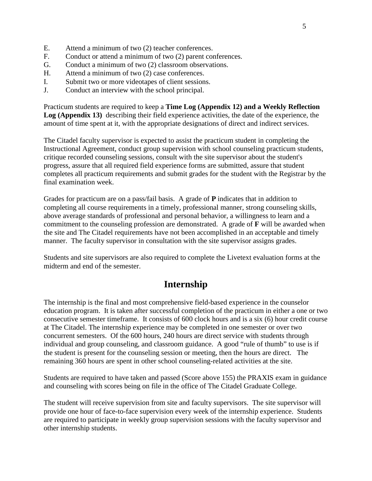- E. Attend a minimum of two (2) teacher conferences.
- F. Conduct or attend a minimum of two (2) parent conferences.
- G. Conduct a minimum of two (2) classroom observations.
- H. Attend a minimum of two (2) case conferences.
- I. Submit two or more videotapes of client sessions.
- J. Conduct an interview with the school principal.

Practicum students are required to keep a **Time Log (Appendix 12) and a Weekly Reflection Log (Appendix 13)** describing their field experience activities, the date of the experience, the amount of time spent at it, with the appropriate designations of direct and indirect services.

The Citadel faculty supervisor is expected to assist the practicum student in completing the Instructional Agreement, conduct group supervision with school counseling practicum students, critique recorded counseling sessions, consult with the site supervisor about the student's progress, assure that all required field experience forms are submitted, assure that student completes all practicum requirements and submit grades for the student with the Registrar by the final examination week.

Grades for practicum are on a pass/fail basis.A grade of **P** indicates that in addition to completing all course requirements in a timely, professional manner, strong counseling skills, above average standards of professional and personal behavior, a willingness to learn and a commitment to the counseling profession are demonstrated. A grade of **F** will be awarded when the site and The Citadel requirements have not been accomplished in an acceptable and timely manner. The faculty supervisor in consultation with the site supervisor assigns grades.

Students and site supervisors are also required to complete the Livetext evaluation forms at the midterm and end of the semester.

# **Internship**

The internship is the final and most comprehensive field-based experience in the counselor education program. It is taken after successful completion of the practicum in either a one or two consecutive semester timeframe. It consists of 600 clock hours and is a six (6) hour credit course at The Citadel. The internship experience may be completed in one semester or over two concurrent semesters. Of the 600 hours, 240 hours are direct service with students through individual and group counseling, and classroom guidance. A good "rule of thumb" to use is if the student is present for the counseling session or meeting, then the hours are direct. The remaining 360 hours are spent in other school counseling-related activities at the site.

Students are required to have taken and passed (Score above 155) the PRAXIS exam in guidance and counseling with scores being on file in the office of The Citadel Graduate College.

The student will receive supervision from site and faculty supervisors. The site supervisor will provide one hour of face-to-face supervision every week of the internship experience. Students are required to participate in weekly group supervision sessions with the faculty supervisor and other internship students.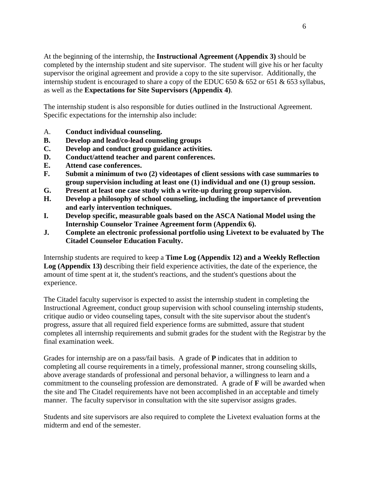At the beginning of the internship, the **Instructional Agreement (Appendix 3)** should be completed by the internship student and site supervisor. The student will give his or her faculty supervisor the original agreement and provide a copy to the site supervisor. Additionally, the internship student is encouraged to share a copy of the EDUC 650  $& 652$  or 651  $& 653$  syllabus, as well as the **Expectations for Site Supervisors (Appendix 4)**.

The internship student is also responsible for duties outlined in the Instructional Agreement. Specific expectations for the internship also include:

- A. **Conduct individual counseling.**
- **B. Develop and lead/co-lead counseling groups**
- **C. Develop and conduct group guidance activities.**
- **D. Conduct/attend teacher and parent conferences.**
- **E. Attend case conferences.**
- **F. Submit a minimum of two (2) videotapes of client sessions with case summaries to group supervision including at least one (1) individual and one (1) group session.**
- **G. Present at least one case study with a write-up during group supervision.**
- **H. Develop a philosophy of school counseling, including the importance of prevention and early intervention techniques.**
- **I. Develop specific, measurable goals based on the ASCA National Model using the Internship Counselor Trainee Agreement form (Appendix 6).**
- **J. Complete an electronic professional portfolio using Livetext to be evaluated by The Citadel Counselor Education Faculty.**

Internship students are required to keep a **Time Log (Appendix 12) and a Weekly Reflection Log (Appendix 13)** describing their field experience activities, the date of the experience, the amount of time spent at it, the student's reactions, and the student's questions about the experience.

The Citadel faculty supervisor is expected to assist the internship student in completing the Instructional Agreement, conduct group supervision with school counseling internship students, critique audio or video counseling tapes, consult with the site supervisor about the student's progress, assure that all required field experience forms are submitted, assure that student completes all internship requirements and submit grades for the student with the Registrar by the final examination week.

Grades for internship are on a pass/fail basis.A grade of **P** indicates that in addition to completing all course requirements in a timely, professional manner, strong counseling skills, above average standards of professional and personal behavior, a willingness to learn and a commitment to the counseling profession are demonstrated. A grade of **F** will be awarded when the site and The Citadel requirements have not been accomplished in an acceptable and timely manner. The faculty supervisor in consultation with the site supervisor assigns grades.

Students and site supervisors are also required to complete the Livetext evaluation forms at the midterm and end of the semester.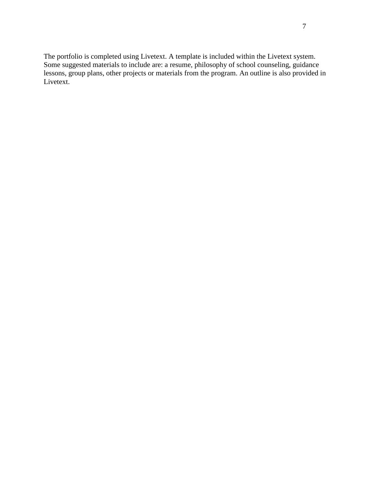The portfolio is completed using Livetext. A template is included within the Livetext system. Some suggested materials to include are: a resume, philosophy of school counseling, guidance lessons, group plans, other projects or materials from the program. An outline is also provided in Livetext.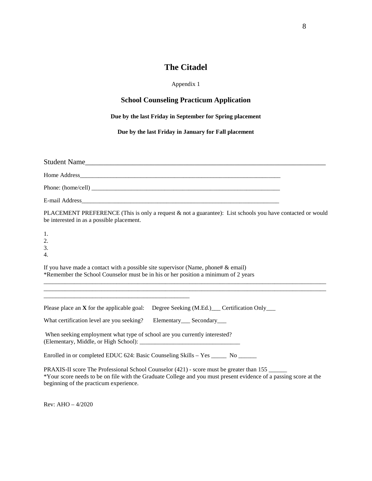# **The Citadel**

#### Appendix 1

# **School Counseling Practicum Application**

### **Due by the last Friday in September for Spring placement**

**Due by the last Friday in January for Fall placement**

| Student Name                                                                                                                                                                                                                                            |  |  |  |  |  |
|---------------------------------------------------------------------------------------------------------------------------------------------------------------------------------------------------------------------------------------------------------|--|--|--|--|--|
|                                                                                                                                                                                                                                                         |  |  |  |  |  |
|                                                                                                                                                                                                                                                         |  |  |  |  |  |
|                                                                                                                                                                                                                                                         |  |  |  |  |  |
| PLACEMENT PREFERENCE (This is only a request & not a guarantee): List schools you have contacted or would<br>be interested in as a possible placement.                                                                                                  |  |  |  |  |  |
| 1.<br>2.<br>3.<br>$\overline{4}$ .                                                                                                                                                                                                                      |  |  |  |  |  |
| If you have made a contact with a possible site supervisor (Name, phone# $\&$ email)<br>*Remember the School Counselor must be in his or her position a minimum of 2 years                                                                              |  |  |  |  |  |
| Please place an <b>X</b> for the applicable goal: Degree Seeking (M.Ed.) Certification Only                                                                                                                                                             |  |  |  |  |  |
| Elementary <sub>___</sub> Secondary___<br>What certification level are you seeking?                                                                                                                                                                     |  |  |  |  |  |
| When seeking employment what type of school are you currently interested?                                                                                                                                                                               |  |  |  |  |  |
| Enrolled in or completed EDUC 624: Basic Counseling Skills – Yes ______ No ______                                                                                                                                                                       |  |  |  |  |  |
| PRAXIS-II score The Professional School Counselor (421) - score must be greater than 155<br>*Your score needs to be on file with the Graduate College and you must present evidence of a passing score at the<br>beginning of the practicum experience. |  |  |  |  |  |

Rev: AHO – 4/2020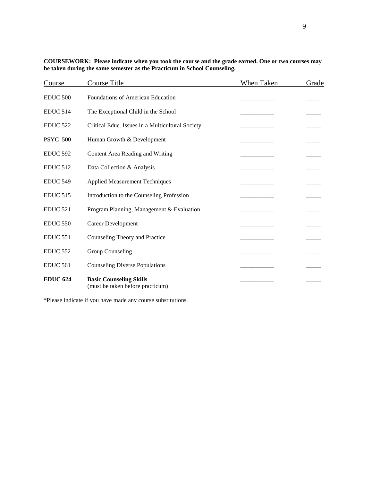| Course          | <b>Course Title</b>                                                | When Taken | Grade |
|-----------------|--------------------------------------------------------------------|------------|-------|
| <b>EDUC 500</b> | Foundations of American Education                                  |            |       |
| <b>EDUC 514</b> | The Exceptional Child in the School                                |            |       |
| <b>EDUC 522</b> | Critical Educ. Issues in a Multicultural Society                   |            |       |
| <b>PSYC 500</b> | Human Growth & Development                                         |            |       |
| <b>EDUC 592</b> | Content Area Reading and Writing                                   |            |       |
| <b>EDUC 512</b> | Data Collection & Analysis                                         |            |       |
| <b>EDUC 549</b> | <b>Applied Measurement Techniques</b>                              |            |       |
| <b>EDUC 515</b> | Introduction to the Counseling Profession                          |            |       |
| <b>EDUC 521</b> | Program Planning, Management & Evaluation                          |            |       |
| <b>EDUC 550</b> | Career Development                                                 |            |       |
| <b>EDUC 551</b> | Counseling Theory and Practice                                     |            |       |
| <b>EDUC 552</b> | Group Counseling                                                   |            |       |
| <b>EDUC 561</b> | <b>Counseling Diverse Populations</b>                              |            |       |
| <b>EDUC 624</b> | <b>Basic Counseling Skills</b><br>(must be taken before practicum) |            |       |

| COURSEWORK: Please indicate when you took the course and the grade earned. One or two courses may |  |
|---------------------------------------------------------------------------------------------------|--|
| be taken during the same semester as the Practicum in School Counseling.                          |  |

\*Please indicate if you have made any course substitutions.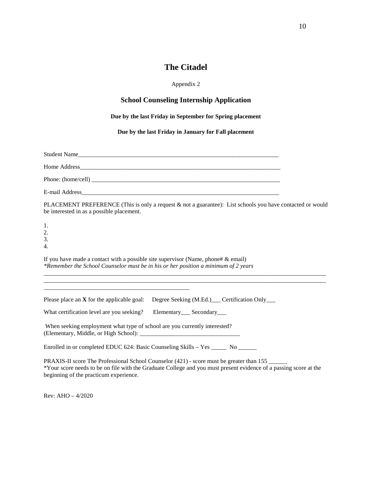# **The Citadel**

#### Appendix 2

#### **School Counseling Internship Application**

#### **Due by the last Friday in September for Spring placement**

**Due by the last Friday in January for Fall placement**

| Student Name |
|--------------|
|              |
|              |
|              |

PLACEMENT PREFERENCE (This is only a request & not a guarantee): List schools you have contacted or would be interested in as a possible placement.

\_\_\_\_\_\_\_\_\_\_\_\_\_\_\_\_\_\_\_\_\_\_\_\_\_\_\_\_\_\_\_\_\_\_\_\_\_\_\_\_\_\_\_\_\_\_\_\_\_\_\_\_\_\_\_\_\_\_\_\_\_\_\_\_\_\_\_\_\_\_\_\_\_\_\_\_\_\_\_\_\_\_\_\_\_\_\_\_\_\_\_\_\_ \_\_\_\_\_\_\_\_\_\_\_\_\_\_\_\_\_\_\_\_\_\_\_\_\_\_\_\_\_\_\_\_\_\_\_\_\_\_\_\_\_\_\_\_\_\_\_\_\_\_\_\_\_\_\_\_\_\_\_\_\_\_\_\_\_\_\_\_\_\_\_\_\_\_\_\_\_\_\_\_\_\_\_\_\_\_\_\_\_\_\_\_\_

1. 2. 3.

4.

If you have made a contact with a possible site supervisor (Name, phone#  $\&$  email) *\*Remember the School Counselor must be in his or her position a minimum of 2 years*

Please place an **X** for the applicable goal: Degree Seeking (M.Ed.) Certification Only

What certification level are you seeking? Elementary\_\_\_ Secondary\_\_\_

\_\_\_\_\_\_\_\_\_\_\_\_\_\_\_\_\_\_\_\_\_\_\_\_\_\_\_\_\_\_\_\_\_\_\_\_\_\_\_\_\_\_\_\_\_\_\_\_

When seeking employment what type of school are you currently interested? (Elementary, Middle, or High School): \_\_\_\_\_\_\_\_\_\_\_\_\_\_\_\_\_\_\_\_\_\_\_\_\_\_\_\_\_\_\_\_\_

Enrolled in or completed EDUC 624: Basic Counseling Skills - Yes \_\_\_\_\_ No \_\_\_\_\_\_

PRAXIS-II score The Professional School Counselor (421) - score must be greater than 155 \*Your score needs to be on file with the Graduate College and you must present evidence of a passing score at the beginning of the practicum experience.

Rev: AHO – 4/2020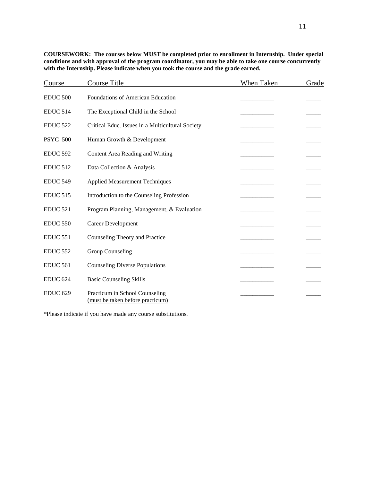| Course              | <b>Course Title</b>                                                | When Taken | Grade |
|---------------------|--------------------------------------------------------------------|------------|-------|
| <b>EDUC 500</b>     | Foundations of American Education                                  |            |       |
| <b>EDUC 514</b>     | The Exceptional Child in the School                                |            |       |
| <b>EDUC 522</b>     | Critical Educ. Issues in a Multicultural Society                   |            |       |
| <b>PSYC 500</b>     | Human Growth & Development                                         |            |       |
| <b>EDUC 592</b>     | Content Area Reading and Writing                                   |            |       |
| <b>EDUC 512</b>     | Data Collection & Analysis                                         |            |       |
| <b>EDUC 549</b>     | <b>Applied Measurement Techniques</b>                              |            |       |
| <b>EDUC 515</b>     | Introduction to the Counseling Profession                          |            |       |
| <b>EDUC 521</b>     | Program Planning, Management, & Evaluation                         |            |       |
| <b>EDUC 550</b>     | <b>Career Development</b>                                          |            |       |
| <b>EDUC 551</b>     | Counseling Theory and Practice                                     |            |       |
| <b>EDUC 552</b>     | Group Counseling                                                   |            |       |
| <b>EDUC 561</b>     | <b>Counseling Diverse Populations</b>                              |            |       |
| EDUC <sub>624</sub> | <b>Basic Counseling Skills</b>                                     |            |       |
| <b>EDUC 629</b>     | Practicum in School Counseling<br>(must be taken before practicum) |            |       |

**COURSEWORK: The courses below MUST be completed prior to enrollment in Internship. Under special conditions and with approval of the program coordinator, you may be able to take one course concurrently**  with the Internship. Please indicate when you took the course and the grade earned.

\*Please indicate if you have made any course substitutions.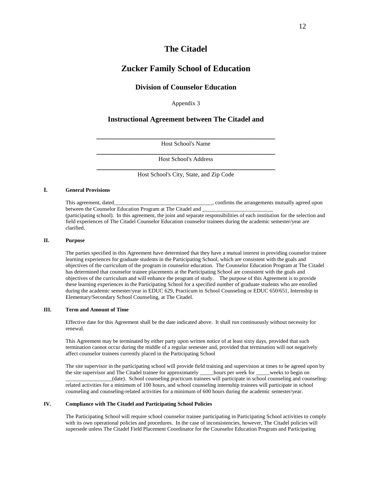## **The Citadel**

## **Zucker Family School of Education**

#### **Division of Counselor Education**

Appendix 3

#### **Instructional Agreement between The Citadel and**

**\_\_\_\_\_\_\_\_\_\_\_\_\_\_\_\_\_\_\_\_\_\_\_\_\_\_\_\_\_\_\_\_\_\_\_\_\_\_\_\_\_\_\_\_\_\_\_\_\_** Host School's Name

**\_\_\_\_\_\_\_\_\_\_\_\_\_\_\_\_\_\_\_\_\_\_\_\_\_\_\_\_\_\_\_\_\_\_\_\_\_\_\_\_\_\_\_\_\_\_\_\_\_** Host School's Address

**\_\_\_\_\_\_\_\_\_\_\_\_\_\_\_\_\_\_\_\_\_\_\_\_\_\_\_\_\_\_\_\_\_\_\_\_\_\_\_\_\_\_\_\_\_\_\_\_\_** Host School's City, State, and Zip Code

#### **I. General Provisions**

clarified.

This agreement, dated\_\_\_\_\_\_\_\_\_\_\_\_\_\_\_\_\_\_\_\_\_\_\_\_\_\_\_\_\_\_\_\_\_, confirms the arrangements mutually agreed upon between the Counselor Education Program at The Citadel and (participating school). In this agreement, the joint and separate responsibilities of each institution for the selection and field experiences of The Citadel Counselor Education counselor trainees during the academic semester/year are

#### **II. Purpose**

The parties specified in this Agreement have determined that they have a mutual interest in providing counselor trainee learning experiences for graduate students in the Participating School, which are consistent with the goals and objectives of the curriculum of the program in counselor education. The Counselor Education Program at The Citadel has determined that counselor trainee placements at the Participating School are consistent with the goals and objectives of the curriculum and will enhance the program of study. The purpose of this Agreement is to provide these learning experiences in the Participating School for a specified number of graduate students who are enrolled during the academic semester/year in EDUC 629, Practicum in School Counseling or EDUC 650/651, Internship in Elementary/Secondary School Counseling, at The Citadel.

#### **III. Term and Amount of Time**

Effective date for this Agreement shall be the date indicated above. It shall run continuously without necessity for renewal.

This Agreement may be terminated by either party upon written notice of at least sixty days, provided that such termination cannot occur during the middle of a regular semester and, provided that termination will not negatively affect counselor trainees currently placed in the Participating School

The site supervisor in the participating school will provide field training and supervision at times to be agreed upon by the site supervisor and The Citadel trainee for approximately \_\_\_\_\_hours per week for \_\_\_\_\_weeks to begin on \_\_\_\_\_\_\_\_\_\_\_\_\_\_\_\_\_(date). School counseling practicum trainees will participate in school counseling and counselingrelated activities for a minimum of 100 hours, and school counseling internship trainees will participate in school counseling and counseling-related activities for a minimum of 600 hours during the academic semester/year.

#### **IV. Compliance with The Citadel and Participating School Policies**

The Participating School will require school counselor trainee participating in Participating School activities to comply with its own operational policies and procedures. In the case of inconsistencies, however, The Citadel policies will supersede unless The Citadel Field Placement Coordinator for the Counselor Education Program and Participating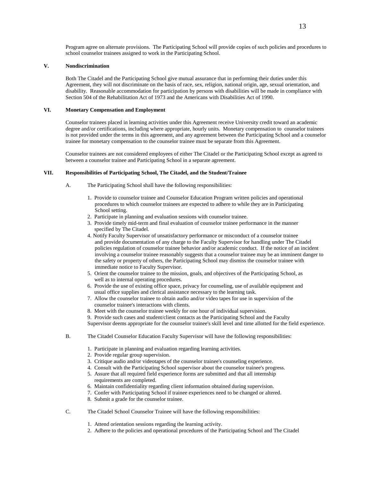Program agree on alternate provisions. The Participating School will provide copies of such policies and procedures to school counselor trainees assigned to work in the Participating School.

#### **V. Nondiscrimination**

Both The Citadel and the Participating School give mutual assurance that in performing their duties under this Agreement, they will not discriminate on the basis of race, sex, religion, national origin, age, sexual orientation, and disability. Reasonable accommodation for participation by persons with disabilities will be made in compliance with Section 504 of the Rehabilitation Act of 1973 and the Americans with Disabilities Act of 1990.

#### **VI. Monetary Compensation and Employment**

Counselor trainees placed in learning activities under this Agreement receive University credit toward an academic degree and/or certifications, including where appropriate, hourly units. Monetary compensation to counselor trainees is not provided under the terms in this agreement, and any agreement between the Participating School and a counselor trainee for monetary compensation to the counselor trainee must be separate from this Agreement.

Counselor trainees are not considered employees of either The Citadel or the Participating School except as agreed to between a counselor trainee and Participating School in a separate agreement.

#### **VII. Responsibilities of Participating School, The Citadel, and the Student/Trainee**

- A. The Participating School shall have the following responsibilities:
	- 1. Provide to counselor trainee and Counselor Education Program written policies and operational procedures to which counselor trainees are expected to adhere to while they are in Participating School setting.
	- 2. Participate in planning and evaluation sessions with counselor trainee.
	- 3. Provide timely mid-term and final evaluation of counselor trainee performance in the manner specified by The Citadel.
	- 4. Notify Faculty Supervisor of unsatisfactory performance or misconduct of a counselor trainee and provide documentation of any charge to the Faculty Supervisor for handling under The Citadel policies regulation of counselor trainee behavior and/or academic conduct. If the notice of an incident involving a counselor trainee reasonably suggests that a counselor trainee may be an imminent danger to the safety or property of others, the Participating School may dismiss the counselor trainee with immediate notice to Faculty Supervisor.
	- 5. Orient the counselor trainee to the mission, goals, and objectives of the Participating School, as well as to internal operating procedures.
	- 6. Provide the use of existing office space, privacy for counseling, use of available equipment and usual office supplies and clerical assistance necessary to the learning task.
	- 7. Allow the counselor trainee to obtain audio and/or video tapes for use in supervision of the counselor trainee's interactions with clients.
	- 8. Meet with the counselor trainee weekly for one hour of individual supervision.
	- 9. Provide such cases and student/client contacts as the Participating School and the Faculty

Supervisor deems appropriate for the counselor trainee's skill level and time allotted for the field experience.

- B. The Citadel Counselor Education Faculty Supervisor will have the following responsibilities:
	- 1. Participate in planning and evaluation regarding learning activities.
	- 2. Provide regular group supervision.
	- 3. Critique audio and/or videotapes of the counselor trainee's counseling experience.
	- 4. Consult with the Participating School supervisor about the counselor trainee's progress.
	- 5. Assure that all required field experience forms are submitted and that all internship requirements are completed.
	- 6. Maintain confidentiality regarding client information obtained during supervision.
	- 7. Confer with Participating School if trainee experiences need to be changed or altered.
	- 8. Submit a grade for the counselor trainee.
- C. The Citadel School Counselor Trainee will have the following responsibilities:
	- 1. Attend orientation sessions regarding the learning activity.
	- 2. Adhere to the policies and operational procedures of the Participating School and The Citadel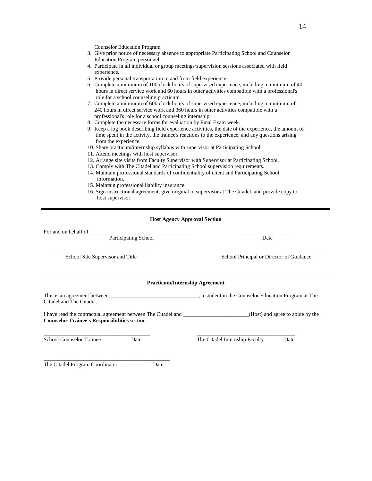Counselor Education Program.

- 3. Give prior notice of necessary absence to appropriate Participating School and Counselor Education Program personnel.
- 4. Participate in all individual or group meetings/supervision sessions associated with field experience.
- 5. Provide personal transportation to and from field experience.
- 6. Complete a minimum of 100 clock hours of supervised experience, including a minimum of 40 hours in direct service work and 60 hours in other activities compatible with a professional's role for a school counseling practicum.
- 7. Complete a minimum of 600 clock hours of supervised experience, including a minimum of 240 hours in direct service work and 360 hours in other activities compatible with a professional's role for a school counseling internship.
- 8. Complete the necessary forms for evaluation by Final Exam week.
- 9. Keep a log book describing field experience activities, the date of the experience, the amount of time spent in the activity, the trainee's reactions to the experience, and any questions arising from the experience.
- 10. Share practicum/internship syllabus with supervisor at Participating School.
- 11. Attend meetings with host supervisor.
- 12. Arrange site visits from Faculty Supervisor with Supervisor at Participating School.
- 13. Comply with The Citadel and Participating School supervision requirements.
- 14. Maintain professional standards of confidentiality of client and Participating School information.
- 15. Maintain professional liability insurance.
- 16. Sign instructional agreement, give original to supervisor at The Citadel, and provide copy to host supervisor.

#### **Host Agency Approval Section**

For and on behalf of Participating School Date  $\overline{\phantom{a}}$  ,  $\overline{\phantom{a}}$  ,  $\overline{\phantom{a}}$  ,  $\overline{\phantom{a}}$  ,  $\overline{\phantom{a}}$  ,  $\overline{\phantom{a}}$  ,  $\overline{\phantom{a}}$  ,  $\overline{\phantom{a}}$  ,  $\overline{\phantom{a}}$  ,  $\overline{\phantom{a}}$  ,  $\overline{\phantom{a}}$  ,  $\overline{\phantom{a}}$  ,  $\overline{\phantom{a}}$  ,  $\overline{\phantom{a}}$  ,  $\overline{\phantom{a}}$  ,  $\overline{\phantom{a}}$ School Site Supervisor and Title School Principal or Director of Guidance **Practicum/Internship Agreement** This is an agreement between\_\_\_\_\_\_\_\_\_\_\_\_\_\_\_\_\_\_\_\_\_\_\_\_\_\_\_\_\_\_\_\_\_, a student in the Counselor Education Program at The Citadel and The Citadel. I have read the contractual agreement between The Citadel and \_\_\_\_\_\_\_\_\_\_\_\_\_\_\_\_\_\_\_\_\_\_\_\_(Host) and agree to abide by the **Counselor Trainee's Responsibilities** section. \_\_\_\_\_\_\_\_\_\_\_\_\_\_\_\_\_\_\_\_\_\_\_\_\_\_\_\_\_\_\_\_\_\_\_\_\_\_\_ \_\_\_\_\_\_\_\_\_\_\_\_\_\_\_\_\_\_\_\_\_\_\_\_\_\_\_\_\_\_\_\_\_\_\_\_ School Counselor Trainee Date Date The Citadel Internship Faculty Date

The Citadel Program Coordinator Date

\_\_\_\_\_\_\_\_\_\_\_\_\_\_\_\_\_\_\_\_\_\_\_\_\_\_\_\_\_\_\_\_\_\_\_\_\_\_\_\_\_\_\_\_\_\_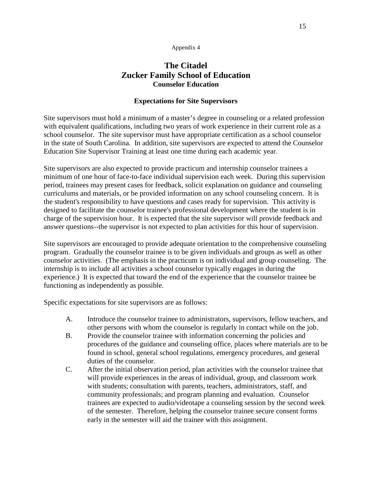# **The Citadel Zucker Family School of Education Counselor Education**

#### **Expectations for Site Supervisors**

Site supervisors must hold a minimum of a master's degree in counseling or a related profession with equivalent qualifications, including two years of work experience in their current role as a school counselor. The site supervisor must have appropriate certification as a school counselor in the state of South Carolina. In addition, site supervisors are expected to attend the Counselor Education Site Supervisor Training at least one time during each academic year.

Site supervisors are also expected to provide practicum and internship counselor trainees a minimum of one hour of face-to-face individual supervision each week. During this supervision period, trainees may present cases for feedback, solicit explanation on guidance and counseling curriculums and materials, or be provided information on any school counseling concern. It is the student's responsibility to have questions and cases ready for supervision. This activity is designed to facilitate the counselor trainee's professional development where the student is in charge of the supervision hour. It is expected that the site supervisor will provide feedback and answer questions--the supervisor is not expected to plan activities for this hour of supervision.

Site supervisors are encouraged to provide adequate orientation to the comprehensive counseling program. Gradually the counselor trainee is to be given individuals and groups as well as other counselor activities. (The emphasis in the practicum is on individual and group counseling. The internship is to include all activities a school counselor typically engages in during the experience.) It is expected that toward the end of the experience that the counselor trainee be functioning as independently as possible.

Specific expectations for site supervisors are as follows:

- A. Introduce the counselor trainee to administrators, supervisors, fellow teachers, and other persons with whom the counselor is regularly in contact while on the job.
- B. Provide the counselor trainee with information concerning the policies and procedures of the guidance and counseling office, places where materials are to be found in school, general school regulations, emergency procedures, and general duties of the counselor.
- C. After the initial observation period, plan activities with the counselor trainee that will provide experiences in the areas of individual, group, and classroom work with students; consultation with parents, teachers, administrators, staff, and community professionals; and program planning and evaluation. Counselor trainees are expected to audio/videotape a counseling session by the second week of the semester. Therefore, helping the counselor trainee secure consent forms early in the semester will aid the trainee with this assignment.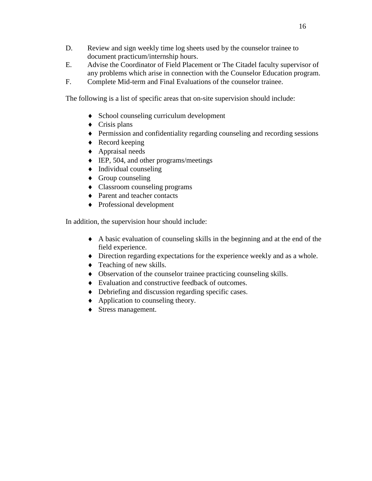- D. Review and sign weekly time log sheets used by the counselor trainee to document practicum/internship hours.
- E. Advise the Coordinator of Field Placement or The Citadel faculty supervisor of any problems which arise in connection with the Counselor Education program.
- F. Complete Mid-term and Final Evaluations of the counselor trainee.

The following is a list of specific areas that on-site supervision should include:

- ♦ School counseling curriculum development
- $\bullet$  Crisis plans
- ♦ Permission and confidentiality regarding counseling and recording sessions
- $\triangleleft$  Record keeping
- ♦ Appraisal needs
- ♦ IEP, 504, and other programs/meetings
- $\bullet$  Individual counseling
- $\triangleleft$  Group counseling
- ♦ Classroom counseling programs
- ♦ Parent and teacher contacts
- ♦ Professional development

In addition, the supervision hour should include:

- ♦ A basic evaluation of counseling skills in the beginning and at the end of the field experience.
- ♦ Direction regarding expectations for the experience weekly and as a whole.
- $\triangleleft$  Teaching of new skills.
- ♦ Observation of the counselor trainee practicing counseling skills.
- ♦ Evaluation and constructive feedback of outcomes.
- ♦ Debriefing and discussion regarding specific cases.
- ♦ Application to counseling theory.
- ♦ Stress management.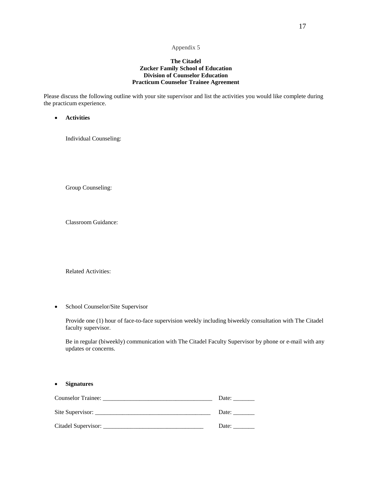#### **The Citadel Zucker Family School of Education Division of Counselor Education Practicum Counselor Trainee Agreement**

Please discuss the following outline with your site supervisor and list the activities you would like complete during the practicum experience.

• **Activities**

Individual Counseling:

Group Counseling:

Classroom Guidance:

Related Activities:

• School Counselor/Site Supervisor

Provide one (1) hour of face-to-face supervision weekly including biweekly consultation with The Citadel faculty supervisor.

Be in regular (biweekly) communication with The Citadel Faculty Supervisor by phone or e-mail with any updates or concerns.

| <b>Signatures</b><br>$\bullet$ |       |
|--------------------------------|-------|
|                                | Date: |
|                                | Date: |
|                                | Date: |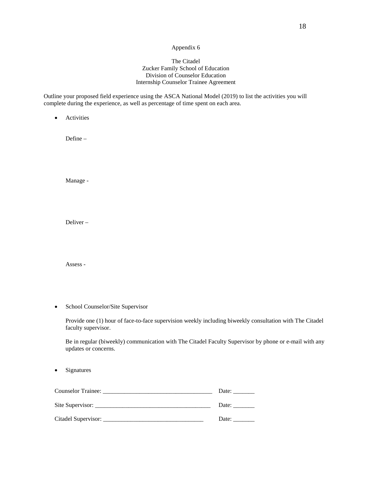#### The Citadel Zucker Family School of Education Division of Counselor Education Internship Counselor Trainee Agreement

Outline your proposed field experience using the ASCA National Model (2019) to list the activities you will complete during the experience, as well as percentage of time spent on each area.

• Activities

Define –

Manage -

Deliver –

Assess -

• School Counselor/Site Supervisor

Provide one (1) hour of face-to-face supervision weekly including biweekly consultation with The Citadel faculty supervisor.

Be in regular (biweekly) communication with The Citadel Faculty Supervisor by phone or e-mail with any updates or concerns.

• Signatures

| Counselor Trainee: | Date: |
|--------------------|-------|
| Site Supervisor:   | Date: |
|                    | Date: |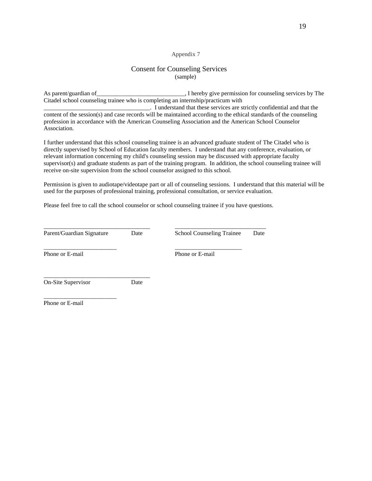#### Consent for Counseling Services (sample)

As parent/guardian of\_\_\_\_\_\_\_\_\_\_\_\_\_\_\_\_\_\_\_\_\_\_\_\_\_\_\_\_, I hereby give permission for counseling services by The Citadel school counseling trainee who is completing an internship/practicum with

\_\_\_\_\_\_\_\_\_\_\_\_\_\_\_\_\_\_\_\_\_\_\_\_\_\_\_\_\_\_\_\_\_\_\_. I understand that these services are strictly confidential and that the content of the session(s) and case records will be maintained according to the ethical standards of the counseling profession in accordance with the American Counseling Association and the American School Counselor Association.

I further understand that this school counseling trainee is an advanced graduate student of The Citadel who is directly supervised by School of Education faculty members. I understand that any conference, evaluation, or relevant information concerning my child's counseling session may be discussed with appropriate faculty supervisor(s) and graduate students as part of the training program. In addition, the school counseling trainee will receive on-site supervision from the school counselor assigned to this school.

Permission is given to audiotape/videotape part or all of counseling sessions. I understand that this material will be used for the purposes of professional training, professional consultation, or service evaluation.

Please feel free to call the school counselor or school counseling trainee if you have questions.

\_\_\_\_\_\_\_\_\_\_\_\_\_\_\_\_\_\_\_\_\_\_\_\_ \_\_\_\_\_\_\_\_\_\_\_\_\_\_\_\_\_\_\_\_\_\_

Parent/Guardian Signature Date School Counseling Trainee Date

\_\_\_\_\_\_\_\_\_\_\_\_\_\_\_\_\_\_\_\_\_\_\_\_\_\_\_\_\_\_\_\_\_\_\_ \_\_\_\_\_\_\_\_\_\_\_\_\_\_\_\_\_\_\_\_\_\_\_\_\_\_\_\_\_\_

Phone or E-mail Phone or E-mail

\_\_\_\_\_\_\_\_\_\_\_\_\_\_\_\_\_\_\_\_\_\_\_\_\_\_\_\_\_\_\_\_\_\_\_ On-Site Supervisor Date

\_\_\_\_\_\_\_\_\_\_\_\_\_\_\_\_\_\_\_\_\_\_\_\_ Phone or E-mail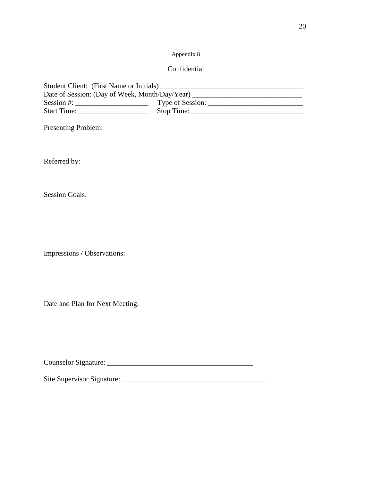## Confidential

| Student Client: (First Name or Initials)       |                  |  |  |  |  |
|------------------------------------------------|------------------|--|--|--|--|
| Date of Session: (Day of Week, Month/Day/Year) |                  |  |  |  |  |
| Session #:                                     | Type of Session: |  |  |  |  |
| <b>Start Time:</b>                             | Stop Time:       |  |  |  |  |

Presenting Problem:

Referred by:

Session Goals:

Impressions / Observations:

Date and Plan for Next Meeting:

Counselor Signature: \_\_\_\_\_\_\_\_\_\_\_\_\_\_\_\_\_\_\_\_\_\_\_\_\_\_\_\_\_\_\_\_\_\_\_\_\_\_\_\_

Site Supervisor Signature: \_\_\_\_\_\_\_\_\_\_\_\_\_\_\_\_\_\_\_\_\_\_\_\_\_\_\_\_\_\_\_\_\_\_\_\_\_\_\_\_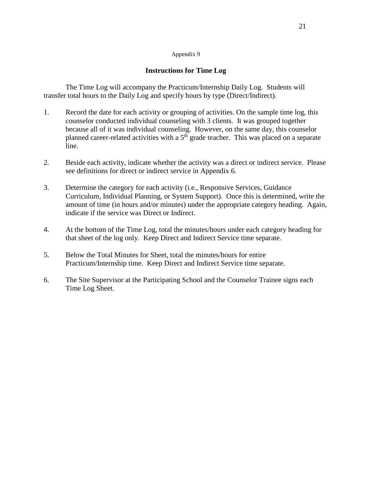#### **Instructions for Time Log**

The Time Log will accompany the Practicum/Internship Daily Log. Students will transfer total hours to the Daily Log and specify hours by type (Direct/Indirect).

- 1. Record the date for each activity or grouping of activities. On the sample time log, this counselor conducted individual counseling with 3 clients. It was grouped together because all of it was individual counseling. However, on the same day, this counselor planned career-related activities with a  $5<sup>th</sup>$  grade teacher. This was placed on a separate line.
- 2. Beside each activity, indicate whether the activity was a direct or indirect service. Please see definitions for direct or indirect service in Appendix 6.
- 3. Determine the category for each activity (i.e., Responsive Services, Guidance Curriculum, Individual Planning, or System Support). Once this is determined, write the amount of time (in hours and/or minutes) under the appropriate category heading. Again, indicate if the service was Direct or Indirect.
- 4. At the bottom of the Time Log, total the minutes/hours under each category heading for that sheet of the log only. Keep Direct and Indirect Service time separate.
- 5. Below the Total Minutes for Sheet, total the minutes/hours for entire Practicum/Internship time. Keep Direct and Indirect Service time separate.
- 6. The Site Supervisor at the Participating School and the Counselor Trainee signs each Time Log Sheet.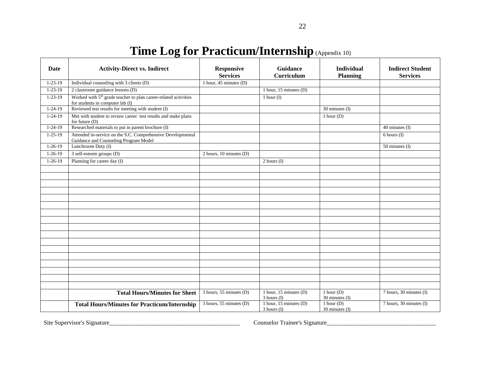| Date          | <b>Activity-Direct vs. Indirect</b>                                                                             | <b>Responsive</b><br><b>Services</b> | Guidance<br><b>Curriculum</b>               | <b>Individual</b><br><b>Planning</b> | <b>Indirect Student</b><br><b>Services</b> |
|---------------|-----------------------------------------------------------------------------------------------------------------|--------------------------------------|---------------------------------------------|--------------------------------------|--------------------------------------------|
| $1 - 23 - 19$ | Individual counseling with 3 clients (D)                                                                        | 1 hour, 45 minutes $(D)$             |                                             |                                      |                                            |
| $1 - 23 - 19$ | 2 classroom guidance lessons (D)                                                                                |                                      | 1 hour, 15 minutes (D)                      |                                      |                                            |
| $1 - 23 - 19$ | Worked with 5 <sup>th</sup> grade teacher to plan career-related activities<br>for students in computer lab (I) |                                      | 1 hour $(I)$                                |                                      |                                            |
| $1 - 24 - 19$ | Reviewed test results for meeting with student (I)                                                              |                                      |                                             | 30 minutes (I)                       |                                            |
| $1 - 24 - 19$ | Met with student to review career test results and make plans<br>for future $(D)$                               |                                      |                                             | $1$ hour $(D)$                       |                                            |
| $1 - 24 - 19$ | Researched materials to put in parent brochure (I)                                                              |                                      |                                             |                                      | 40 minutes (I)                             |
| $1 - 25 - 19$ | Attended in-service on the S.C. Comprehensive Developmental<br>Guidance and Counseling Program Model            |                                      |                                             |                                      | $6$ hours $(I)$                            |
| $1 - 26 - 19$ | Lunchroom Duty (I)                                                                                              |                                      |                                             |                                      | 50 minutes (I)                             |
| $1 - 26 - 19$ | 3 self-esteem groups (D)                                                                                        | 2 hours, $10$ minutes $(D)$          |                                             |                                      |                                            |
| $1 - 26 - 19$ | Planning for career day (I)                                                                                     |                                      | 2 hours (I)                                 |                                      |                                            |
|               |                                                                                                                 |                                      |                                             |                                      |                                            |
|               |                                                                                                                 |                                      |                                             |                                      |                                            |
|               |                                                                                                                 |                                      |                                             |                                      |                                            |
|               |                                                                                                                 |                                      |                                             |                                      |                                            |
|               |                                                                                                                 |                                      |                                             |                                      |                                            |
|               |                                                                                                                 |                                      |                                             |                                      |                                            |
|               |                                                                                                                 |                                      |                                             |                                      |                                            |
|               |                                                                                                                 |                                      |                                             |                                      |                                            |
|               |                                                                                                                 |                                      |                                             |                                      |                                            |
|               |                                                                                                                 |                                      |                                             |                                      |                                            |
|               |                                                                                                                 |                                      |                                             |                                      |                                            |
|               |                                                                                                                 |                                      |                                             |                                      |                                            |
|               |                                                                                                                 |                                      |                                             |                                      |                                            |
|               |                                                                                                                 |                                      |                                             |                                      |                                            |
|               |                                                                                                                 |                                      |                                             |                                      |                                            |
|               |                                                                                                                 |                                      |                                             |                                      |                                            |
|               |                                                                                                                 |                                      |                                             |                                      |                                            |
|               | <b>Total Hours/Minutes for Sheet</b>                                                                            | 3 hours, 55 minutes (D)              | 1 hour, 15 minutes $(D)$<br>3 hours (I)     | $1$ hour $(D)$<br>30 minutes (I)     | 7 hours, 30 minutes (I)                    |
|               | <b>Total Hours/Minutes for Practicum/Internship</b>                                                             | 3 hours, 55 minutes (D)              | 1 hour, 15 minutes $(D)$<br>$3$ hours $(I)$ | $1$ hour $(D)$<br>30 minutes (I)     | 7 hours, 30 minutes (I)                    |

Site Supervisor's Signature\_\_\_\_\_\_\_\_\_\_\_\_\_\_\_\_\_\_\_\_\_\_\_\_\_\_\_\_\_\_\_\_\_\_\_\_\_\_\_\_\_\_\_ Counselor Trainee's Signature\_\_\_\_\_\_\_\_\_\_\_\_\_\_\_\_\_\_\_\_\_\_\_\_\_\_\_\_\_\_\_\_\_\_\_\_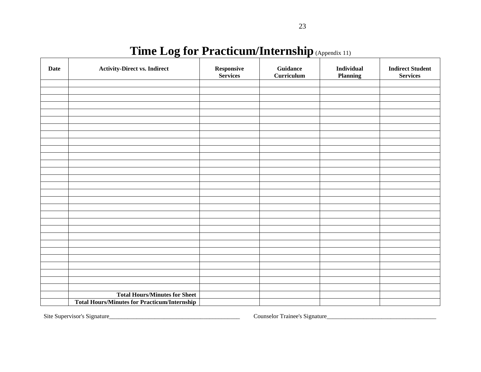# **Time Log for Practicum/Internship**(Appendix 11)

| <b>Date</b> | <b>Activity-Direct vs. Indirect</b>                 | ${\bf Response}$<br>Services | <b>Guidance</b><br><b>Curriculum</b> | <b>Individual</b><br>Planning | <b>Indirect Student</b><br><b>Services</b> |
|-------------|-----------------------------------------------------|------------------------------|--------------------------------------|-------------------------------|--------------------------------------------|
|             |                                                     |                              |                                      |                               |                                            |
|             |                                                     |                              |                                      |                               |                                            |
|             |                                                     |                              |                                      |                               |                                            |
|             |                                                     |                              |                                      |                               |                                            |
|             |                                                     |                              |                                      |                               |                                            |
|             |                                                     |                              |                                      |                               |                                            |
|             |                                                     |                              |                                      |                               |                                            |
|             |                                                     |                              |                                      |                               |                                            |
|             |                                                     |                              |                                      |                               |                                            |
|             |                                                     |                              |                                      |                               |                                            |
|             |                                                     |                              |                                      |                               |                                            |
|             |                                                     |                              |                                      |                               |                                            |
|             |                                                     |                              |                                      |                               |                                            |
|             |                                                     |                              |                                      |                               |                                            |
|             |                                                     |                              |                                      |                               |                                            |
|             |                                                     |                              |                                      |                               |                                            |
|             |                                                     |                              |                                      |                               |                                            |
|             |                                                     |                              |                                      |                               |                                            |
|             |                                                     |                              |                                      |                               |                                            |
|             |                                                     |                              |                                      |                               |                                            |
|             |                                                     |                              |                                      |                               |                                            |
|             |                                                     |                              |                                      |                               |                                            |
|             |                                                     |                              |                                      |                               |                                            |
|             |                                                     |                              |                                      |                               |                                            |
|             |                                                     |                              |                                      |                               |                                            |
|             |                                                     |                              |                                      |                               |                                            |
|             |                                                     |                              |                                      |                               |                                            |
|             | <b>Total Hours/Minutes for Sheet</b>                |                              |                                      |                               |                                            |
|             | <b>Total Hours/Minutes for Practicum/Internship</b> |                              |                                      |                               |                                            |

Site Supervisor's Signature\_\_\_\_\_\_\_\_\_\_\_\_\_\_\_\_\_\_\_\_\_\_\_\_\_\_\_\_\_\_\_\_\_\_\_\_\_\_\_\_\_\_\_ Counselor Trainee's Signature\_\_\_\_\_\_\_\_\_\_\_\_\_\_\_\_\_\_\_\_\_\_\_\_\_\_\_\_\_\_\_\_\_\_\_\_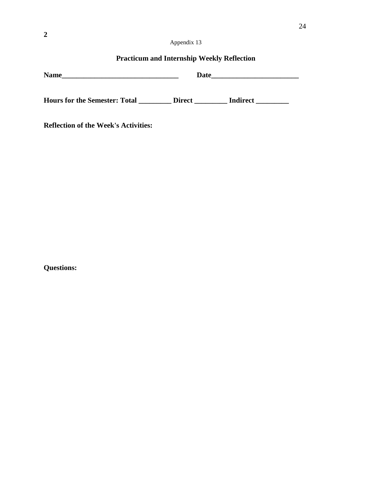# **Practicum and Internship Weekly Reflection**

| <b>Name</b>                          | Date          |          |
|--------------------------------------|---------------|----------|
| <b>Hours for the Semester: Total</b> | <b>Direct</b> | Indirect |

**Reflection of the Week's Activities:** 

**Questions:**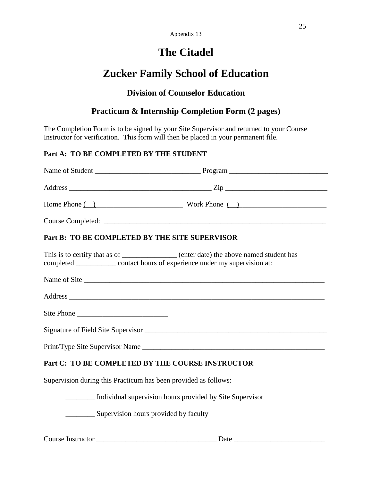# **The Citadel**

# **Zucker Family School of Education**

# **Division of Counselor Education**

# **Practicum & Internship Completion Form (2 pages)**

The Completion Form is to be signed by your Site Supervisor and returned to your Course Instructor for verification. This form will then be placed in your permanent file.

# **Part A: TO BE COMPLETED BY THE STUDENT**

|                                                                                                                                                                       | Home Phone $\overline{()}$ Work Phone $\overline{()}$ |  |  |  |
|-----------------------------------------------------------------------------------------------------------------------------------------------------------------------|-------------------------------------------------------|--|--|--|
|                                                                                                                                                                       |                                                       |  |  |  |
| Part B: TO BE COMPLETED BY THE SITE SUPERVISOR                                                                                                                        |                                                       |  |  |  |
| This is to certify that as of ______________ (enter date) the above named student has<br>completed _____________ contact hours of experience under my supervision at: |                                                       |  |  |  |
|                                                                                                                                                                       |                                                       |  |  |  |
|                                                                                                                                                                       |                                                       |  |  |  |
|                                                                                                                                                                       |                                                       |  |  |  |
|                                                                                                                                                                       |                                                       |  |  |  |
| Print/Type Site Supervisor Name                                                                                                                                       |                                                       |  |  |  |
| Part C: TO BE COMPLETED BY THE COURSE INSTRUCTOR                                                                                                                      |                                                       |  |  |  |
| Supervision during this Practicum has been provided as follows:                                                                                                       |                                                       |  |  |  |
| Individual supervision hours provided by Site Supervisor                                                                                                              |                                                       |  |  |  |
| Supervision hours provided by faculty                                                                                                                                 |                                                       |  |  |  |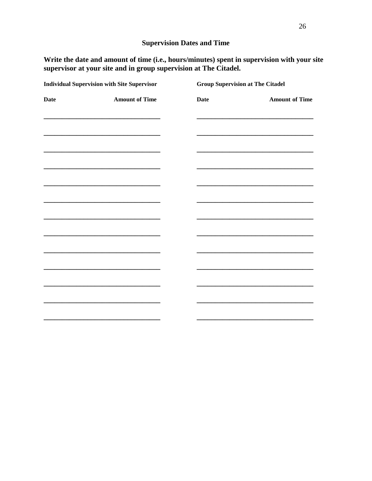# **Supervision Dates and Time**

Write the date and amount of time (i.e., hours/minutes) spent in supervision with your site supervisor at your site and in group supervision at The Citadel.

| <b>Individual Supervision with Site Supervisor</b> |                                                                                                                       | <b>Group Supervision at The Citadel</b> |                                                                                                                       |
|----------------------------------------------------|-----------------------------------------------------------------------------------------------------------------------|-----------------------------------------|-----------------------------------------------------------------------------------------------------------------------|
| <b>Date</b>                                        | <b>Amount of Time</b>                                                                                                 | <b>Date</b>                             | <b>Amount of Time</b>                                                                                                 |
|                                                    | <u> 1989 - Johann Barn, mars ann an t-Amhair an t-Amhair an t-Amhair an t-Amhair an t-Amhair an t-Amhair an t-Amh</u> |                                         |                                                                                                                       |
|                                                    | the control of the control of the control of the control of the control of the control of                             |                                         |                                                                                                                       |
|                                                    | the control of the control of the control of the control of the control of the control of                             |                                         |                                                                                                                       |
|                                                    |                                                                                                                       |                                         |                                                                                                                       |
|                                                    | <u> 2000 - Paris Amerikaanse kommunister († 2000)</u>                                                                 |                                         | <u> 1989 - Johann Barn, mars ann an t-Amhair an t-Amhair an t-Amhair an t-Amhair an t-Amhair an t-Amhair an t-Amh</u> |
|                                                    |                                                                                                                       |                                         |                                                                                                                       |
|                                                    |                                                                                                                       |                                         |                                                                                                                       |
|                                                    | the control of the control of the control of the control of the control of the control of                             |                                         |                                                                                                                       |
|                                                    | the control of the control of the control of the control of the control of the control of                             |                                         |                                                                                                                       |
|                                                    |                                                                                                                       |                                         |                                                                                                                       |
|                                                    |                                                                                                                       |                                         |                                                                                                                       |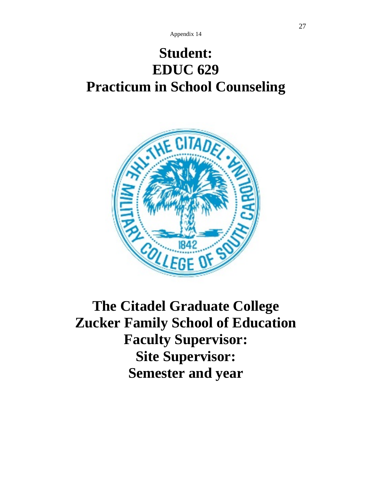# **Student: EDUC 629 Practicum in School Counseling**



**The Citadel Graduate College Zucker Family School of Education Faculty Supervisor: Site Supervisor: Semester and year**